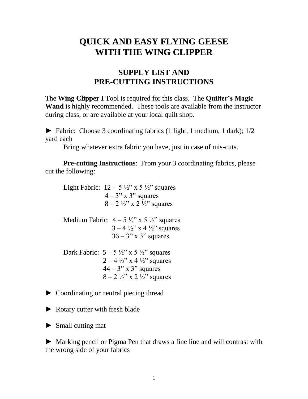## **QUICK AND EASY FLYING GEESE WITH THE WING CLIPPER**

## **SUPPLY LIST AND PRE-CUTTING INSTRUCTIONS**

The **Wing Clipper I** Tool is required for this class. The **Quilter's Magic Wand** is highly recommended. These tools are available from the instructor during class, or are available at your local quilt shop.

► Fabric: Choose 3 coordinating fabrics (1 light, 1 medium, 1 dark); 1/2 yard each

Bring whatever extra fabric you have, just in case of mis-cuts.

**Pre-cutting Instructions**: From your 3 coordinating fabrics, please cut the following:

Light Fabric:  $12 - 5 \frac{1}{2}$ " x 5  $\frac{1}{2}$ " squares  $4 - 3$ " x 3" squares  $8 - 2 \frac{1}{2}$ " x 2  $\frac{1}{2}$ " squares Medium Fabric:  $4 - 5 \frac{1}{2}$ " x 5  $\frac{1}{2}$ " squares  $3 - 4 \frac{1}{2}$ " x 4  $\frac{1}{2}$ " squares  $36 - 3$ " x 3" squares Dark Fabric:  $5 - 5 \frac{1}{2}$ " x  $5 \frac{1}{2}$ " squares  $2 - 4 \frac{1}{2}$  x 4  $\frac{1}{2}$  squares  $44 - 3$ " x 3" squares  $8 - 2 \frac{1}{2}$ " x 2  $\frac{1}{2}$ " squares

- ► Coordinating or neutral piecing thread
- ► Rotary cutter with fresh blade
- ► Small cutting mat

► Marking pencil or Pigma Pen that draws a fine line and will contrast with the wrong side of your fabrics